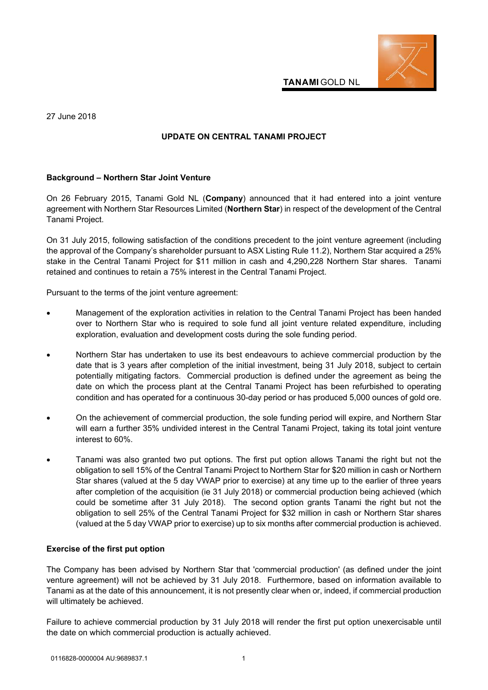

**TANAMI** GOLD NL

27 June 2018

## **UPDATE ON CENTRAL TANAMI PROJECT**

## **Background – Northern Star Joint Venture**

On 26 February 2015, Tanami Gold NL (**Company**) announced that it had entered into a joint venture agreement with Northern Star Resources Limited (**Northern Star**) in respect of the development of the Central Tanami Project.

On 31 July 2015, following satisfaction of the conditions precedent to the joint venture agreement (including the approval of the Company's shareholder pursuant to ASX Listing Rule 11.2), Northern Star acquired a 25% stake in the Central Tanami Project for \$11 million in cash and 4,290,228 Northern Star shares. Tanami retained and continues to retain a 75% interest in the Central Tanami Project.

Pursuant to the terms of the joint venture agreement:

- Management of the exploration activities in relation to the Central Tanami Project has been handed over to Northern Star who is required to sole fund all joint venture related expenditure, including exploration, evaluation and development costs during the sole funding period.
- Northern Star has undertaken to use its best endeavours to achieve commercial production by the date that is 3 years after completion of the initial investment, being 31 July 2018, subject to certain potentially mitigating factors. Commercial production is defined under the agreement as being the date on which the process plant at the Central Tanami Project has been refurbished to operating condition and has operated for a continuous 30-day period or has produced 5,000 ounces of gold ore.
- On the achievement of commercial production, the sole funding period will expire, and Northern Star will earn a further 35% undivided interest in the Central Tanami Project, taking its total joint venture interest to 60%.
- Tanami was also granted two put options. The first put option allows Tanami the right but not the obligation to sell 15% of the Central Tanami Project to Northern Star for \$20 million in cash or Northern Star shares (valued at the 5 day VWAP prior to exercise) at any time up to the earlier of three years after completion of the acquisition (ie 31 July 2018) or commercial production being achieved (which could be sometime after 31 July 2018). The second option grants Tanami the right but not the obligation to sell 25% of the Central Tanami Project for \$32 million in cash or Northern Star shares (valued at the 5 day VWAP prior to exercise) up to six months after commercial production is achieved.

## **Exercise of the first put option**

The Company has been advised by Northern Star that 'commercial production' (as defined under the joint venture agreement) will not be achieved by 31 July 2018. Furthermore, based on information available to Tanami as at the date of this announcement, it is not presently clear when or, indeed, if commercial production will ultimately be achieved.

Failure to achieve commercial production by 31 July 2018 will render the first put option unexercisable until the date on which commercial production is actually achieved.